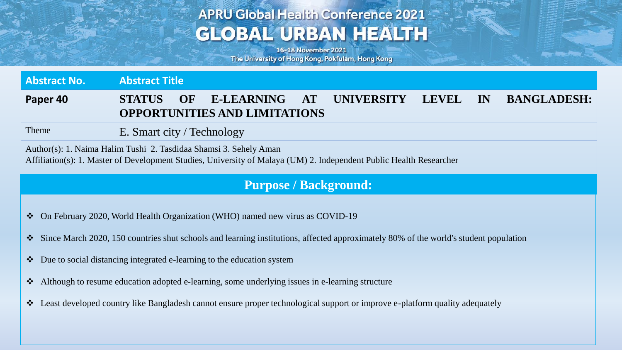## **APRU Global Health Conference 2021 GLOBAL URBAN HEALTH**

16-18 November 2021 The University of Hong Kong, Pokfulam, Hong Kong

| <b>Abstract No.</b> | <b>Abstract Title</b> |  |                                                       |  |                  |  |    |                    |  |  |
|---------------------|-----------------------|--|-------------------------------------------------------|--|------------------|--|----|--------------------|--|--|
| Paper 40            | STATUS OF             |  | E-LEARNING AT<br><b>OPPORTUNITIES AND LIMITATIONS</b> |  | UNIVERSITY LEVEL |  | IN | <b>BANGLADESH:</b> |  |  |
|                     |                       |  |                                                       |  |                  |  |    |                    |  |  |

Theme E. Smart city / Technology

Author(s): 1. Naima Halim Tushi 2. Tasdidaa Shamsi 3. Sehely Aman Affiliation(s): 1. Master of Development Studies, University of Malaya (UM) 2. Independent Public Health Researcher

### **Purpose / Background:**

- On February 2020, World Health Organization (WHO) named new virus as COVID-19
- Since March 2020, 150 countries shut schools and learning institutions, affected approximately 80% of the world's student population
- Due to social distancing integrated e-learning to the education system
- Although to resume education adopted e-learning, some underlying issues in e-learning structure
- Least developed country like Bangladesh cannot ensure proper technological support or improve e-platform quality adequately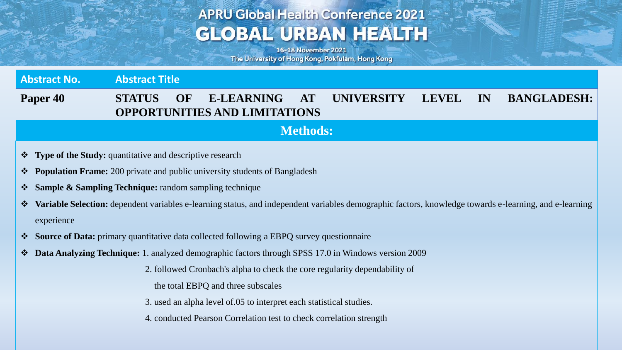# **APRU Global Health Conference 2021 GLOBAL URBAN HEALTH**

16-18 November 2021 The University of Hong Kong, Pokfulam, Hong Kong

Age Allen Part

| <b>Abstract No.</b>                                                                                                                                                     |               |    |                       |           |                                      |              |    |                    |  |  |
|-------------------------------------------------------------------------------------------------------------------------------------------------------------------------|---------------|----|-----------------------|-----------|--------------------------------------|--------------|----|--------------------|--|--|
| Paper 40                                                                                                                                                                | <b>STATUS</b> | OF | <b>E-LEARNING</b>     | <b>AT</b> | <b>UNIVERSITY</b>                    | <b>LEVEL</b> | IN | <b>BANGLADESH:</b> |  |  |
| <b>Methods:</b>                                                                                                                                                         |               |    |                       |           |                                      |              |    |                    |  |  |
| <b>Type of the Study:</b> quantitative and descriptive research<br>$\frac{1}{2}$                                                                                        |               |    |                       |           |                                      |              |    |                    |  |  |
| <b>Population Frame:</b> 200 private and public university students of Bangladesh<br>$\frac{1}{2}$                                                                      |               |    |                       |           |                                      |              |    |                    |  |  |
| <b>Sample &amp; Sampling Technique:</b> random sampling technique<br>$\frac{1}{2}$                                                                                      |               |    |                       |           |                                      |              |    |                    |  |  |
| Variable Selection: dependent variables e-learning status, and independent variables demographic factors, knowledge towards e-learning, and e-learning<br>$\frac{1}{2}$ |               |    |                       |           |                                      |              |    |                    |  |  |
| experience                                                                                                                                                              |               |    |                       |           |                                      |              |    |                    |  |  |
| <b>Source of Data:</b> primary quantitative data collected following a EBPQ survey questionnaire<br>$\frac{1}{2}$                                                       |               |    |                       |           |                                      |              |    |                    |  |  |
| <b>Data Analyzing Technique:</b> 1. analyzed demographic factors through SPSS 17.0 in Windows version 2009                                                              |               |    |                       |           |                                      |              |    |                    |  |  |
| 2. followed Cronbach's alpha to check the core regularity dependability of                                                                                              |               |    |                       |           |                                      |              |    |                    |  |  |
| the total EBPQ and three subscales                                                                                                                                      |               |    |                       |           |                                      |              |    |                    |  |  |
| 3. used an alpha level of 0.05 to interpret each statistical studies.                                                                                                   |               |    |                       |           |                                      |              |    |                    |  |  |
| 4. conducted Pearson Correlation test to check correlation strength                                                                                                     |               |    |                       |           |                                      |              |    |                    |  |  |
|                                                                                                                                                                         |               |    | <b>Abstract Title</b> |           | <b>OPPORTUNITIES AND LIMITATIONS</b> |              |    |                    |  |  |